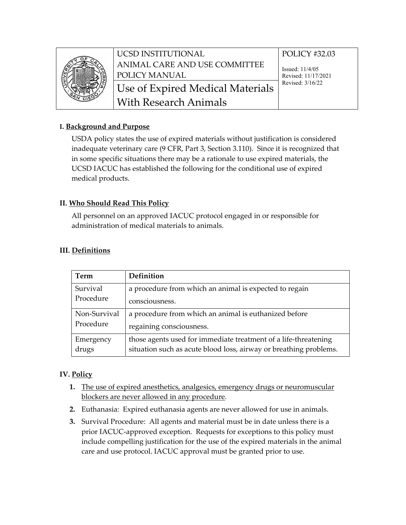

UCSD INSTITUTIONAL ANIMAL CARE AND USE COMMITTEE POLICY MANUAL Use of Expired Medical Materials Revised: 3/16/22 With Research Animals

# POLICY #32.03

Issued: 11/4/05 Revised: 11/17/2021

## **I. Background and Purpose**

USDA policy states the use of expired materials without justification is considered inadequate veterinary care (9 CFR, Part 3, Section 3.110). Since it is recognized that in some specific situations there may be a rationale to use expired materials, the UCSD IACUC has established the following for the conditional use of expired medical products.

## **II. Who Should Read This Policy**

All personnel on an approved IACUC protocol engaged in or responsible for administration of medical materials to animals.

| Term                      | Definition                                                        |
|---------------------------|-------------------------------------------------------------------|
| Survival                  | a procedure from which an animal is expected to regain            |
| Procedure                 | consciousness.                                                    |
| Non-Survival<br>Procedure | a procedure from which an animal is euthanized before             |
|                           | regaining consciousness.                                          |
| Emergency                 | those agents used for immediate treatment of a life-threatening   |
| drugs                     | situation such as acute blood loss, airway or breathing problems. |

### **III. Definitions**

## **IV. Policy**

- **1.** The use of expired anesthetics, analgesics, emergency drugs or neuromuscular blockers are never allowed in any procedure.
- **2.** Euthanasia: Expired euthanasia agents are never allowed for use in animals.
- **3.** Survival Procedure: All agents and material must be in date unless there is a prior IACUC-approved exception. Requests for exceptions to this policy must include compelling justification for the use of the expired materials in the animal care and use protocol. IACUC approval must be granted prior to use.